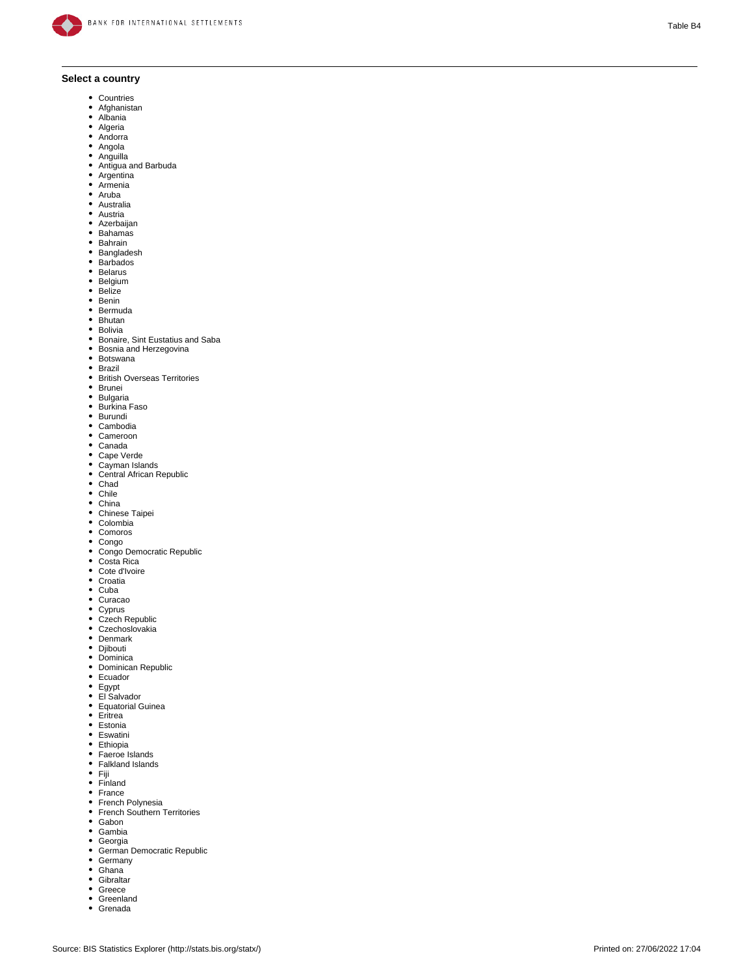

## **Select a country**

- Countries
- Afghanistan
- Albania Algeria
- Andorra
- $\bullet$ Angola
- Anguilla
- Antigua and Barbuda
- $\bullet$ Argentina
- Armenia
- Aruba  $\bullet$ Australia
- Austria
- $\bullet$ Azerbaijan
- Bahamas
- Bahrain
- Bangladesh
- $\bullet$ **Barbados**
- Belarus  $\bullet$ Belgium
- Belize  $\bullet$
- $\bullet$ Benin
- $\bullet$ Bermuda
- $\bullet$ Bhutan
- Bolivia
- Bonaire, Sint Eustatius and Saba Bosnia and Herzegovina
- 
- $\bullet$ Botswana
- $\cdot$  Brazil
- $\bullet$ British Overseas Territories
- Brunei
- Bulgaria Burkina Faso  $\bullet$
- $\bullet$ Burundi
- Cambodia
- Cameroon
- $\bullet$ Canada
- Cape Verde
- Cayman Islands  $\bullet$
- Central African Republic
- Chad Chile
- 
- China Chinese Taipei
- $\bullet$ Colombia
- Comoros
- $\bullet$ Congo
- Congo Democratic Republic
- $\bullet$ Costa Rica
- Cote d'Ivoire
- Croatia
- Cuba  $\bullet$ Curacao
- 
- Cyprus Czech Republic  $\bullet$
- Czechoslovakia
- $\bullet$
- Denmark Djibouti
- $\bullet$
- Dominica Dominican Republic  $\bullet$
- Ecuador  $\bullet$
- 
- Egypt El Salvador
- $\bullet$ Equatorial Guinea
- Eritrea  $\bullet$
- Estonia
- Eswatini
- 
- Ethiopia Faeroe Islands  $\bullet$
- Falkland Islands
- $-$  Fiji
- Finland
- France  $\bullet$
- French Polynesia French Southern Territories  $\bullet$
- $\bullet$
- Gabon Gambia
- $\bullet$ Georgia
- $\bullet$ German Democratic Republic
- $\bullet$ Germany
- Ghana  $\bullet$
- **Gibraltar**  $\bullet$
- Greece  $\bullet$ Greenland
- Grenada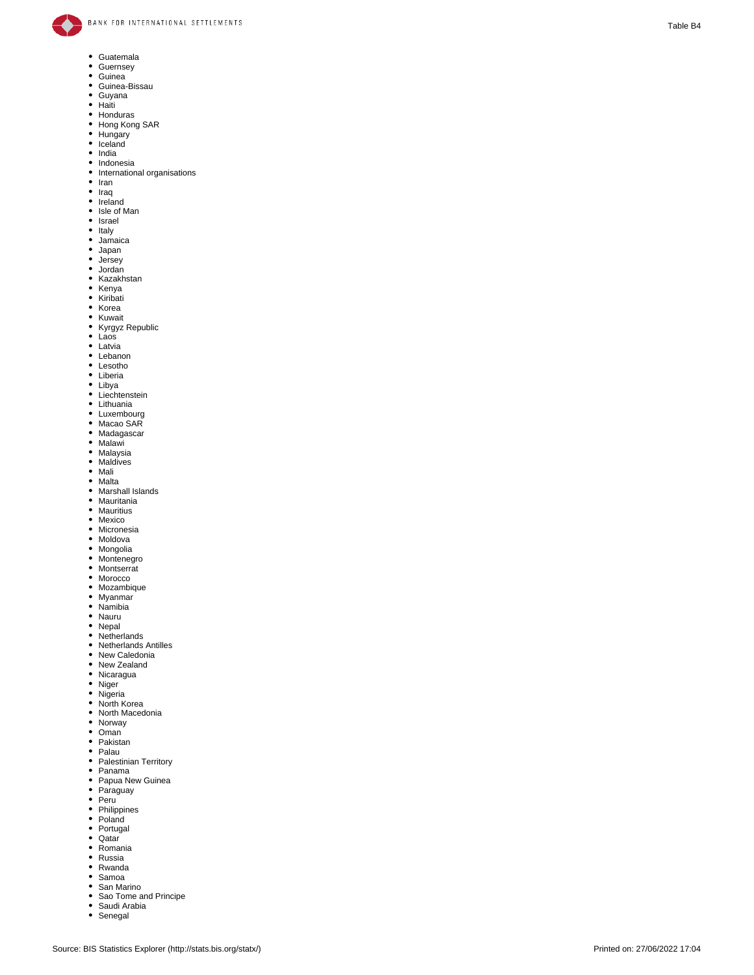

- Guatemala
- $\bullet$ Guernsey
- $\bullet$
- Guinea Guinea-Bissau
- $\bullet$
- Guyana Haiti
- 
- Honduras Hong Kong SAR Hungary Iceland
- $\bullet$
- $\bullet$
- India Indonesia  $\bullet$
- $\bullet$ International organisations
- $\bullet$ Iran
- $\bullet$ Iraq  $\bullet$
- Ireland  $\bullet$
- Isle of Man  $\bullet$ Israel
- $\bullet$ Italy
- Jamaica
- $\bullet$ Japan
- Jersey
- Jordan
- Kazakhstan  $\bullet$
- $\bullet$ Kenya
- $\bullet$ Kiribati  $\bullet$
- Korea  $\bullet$ Kuwait
- $\bullet$ Kyrgyz Republic
- Laos
- Latvia
- $\bullet$ Lebanon
- $\bullet$ Lesotho
- Liberia
- 
- Libya Liechtenstein Lithuania
- 
- Luxembourg Macao SAR
- 
- Madagascar Malawi  $\bullet$
- Malaysia Maldives
- $\bullet$
- $\bullet$ Mali
- Malta  $\bullet$
- $\bullet$ Marshall Islands
- Mauritania  $\bullet$  $\bullet$
- **Mauritius**
- Mexico  $\bullet$
- Micronesia • Moldova
- $\bullet$ Mongolia
- Montenegro
- $\bullet$ Montserrat
- Morocco
- $\bullet$ Mozambique
- Myanmar
- $\bullet$ Namibia
- Nauru
- $\bullet$ Nepal
- Netherlands
- $\bullet$ Netherlands Antilles  $\bullet$
- New Caledonia  $\bullet$
- New Zealand Nicaragua
- $\bullet$ Niger
- 
- Nigeria North Korea
- $\bullet$ North Macedonia
- Norway
- $\bullet$
- Oman Pakistan  $\bullet$
- $\bullet$
- Palau Palestinian Territory  $\bullet$
- $\bullet$ Panama
- Papua New Guinea
- $\bullet$ Paraguay
- Peru<sup>s</sup>
- $\bullet$ Philippines
- Poland
- $\bullet$ Portugal
- $\bullet$ **Qatar**
- $\bullet$ Romania
- Russia  $\bullet$
- $\bullet$ Rwanda
- $\bullet$ Samoa
- San Marino
- Sao Tome and Principe
- Saudi Arabia
- Senegal